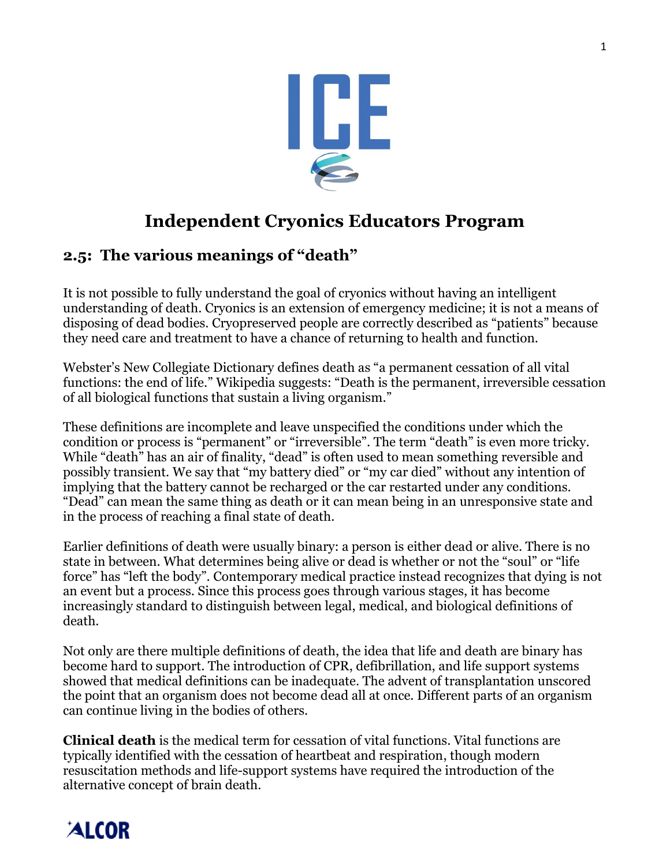

## **Independent Cryonics Educators Program**

## **2.5: The various meanings of "death"**

It is not possible to fully understand the goal of cryonics without having an intelligent understanding of death. Cryonics is an extension of emergency medicine; it is not a means of disposing of dead bodies. Cryopreserved people are correctly described as "patients" because they need care and treatment to have a chance of returning to health and function.

Webster's New Collegiate Dictionary defines death as "a permanent cessation of all vital functions: the end of life." Wikipedia suggests: "Death is the permanent, irreversible cessation of all biological functions that sustain a living organism."

These definitions are incomplete and leave unspecified the conditions under which the condition or process is "permanent" or "irreversible". The term "death" is even more tricky. While "death" has an air of finality, "dead" is often used to mean something reversible and possibly transient. We say that "my battery died" or "my car died" without any intention of implying that the battery cannot be recharged or the car restarted under any conditions. "Dead" can mean the same thing as death or it can mean being in an unresponsive state and in the process of reaching a final state of death.

Earlier definitions of death were usually binary: a person is either dead or alive. There is no state in between. What determines being alive or dead is whether or not the "soul" or "life force" has "left the body". Contemporary medical practice instead recognizes that dying is not an event but a process. Since this process goes through various stages, it has become increasingly standard to distinguish between legal, medical, and biological definitions of death.

Not only are there multiple definitions of death, the idea that life and death are binary has become hard to support. The introduction of CPR, defibrillation, and life support systems showed that medical definitions can be inadequate. The advent of transplantation unscored the point that an organism does not become dead all at once. Different parts of an organism can continue living in the bodies of others.

**Clinical death** is the medical term for cessation of vital functions. Vital functions are typically identified with the cessation of heartbeat and respiration, though modern resuscitation methods and life-support systems have required the introduction of the alternative concept of brain death.

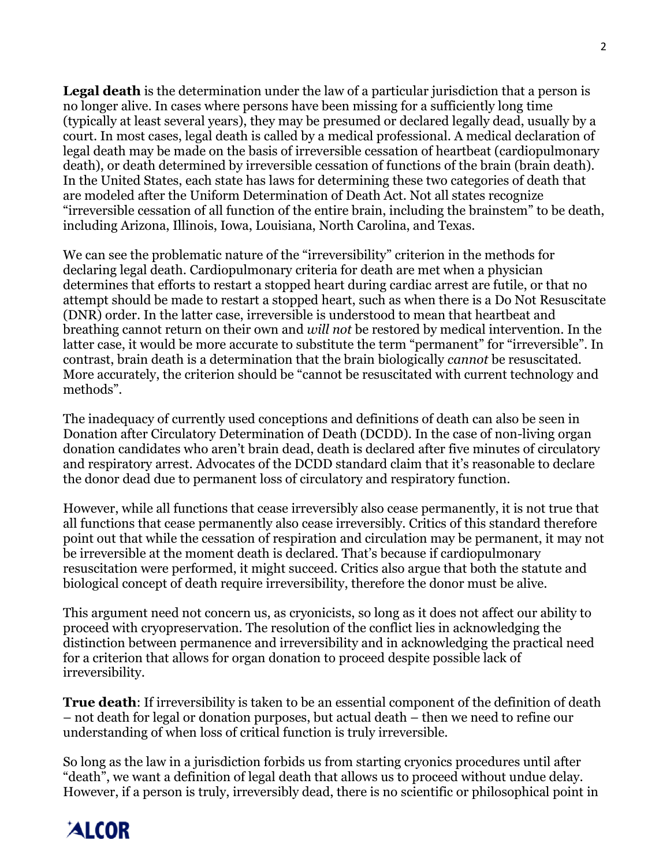**Legal death** is the determination under the law of a particular jurisdiction that a person is no longer alive. In cases where persons have been missing for a sufficiently long time (typically at least several years), they may be presumed or declared legally dead, usually by a court. In most cases, legal death is called by a medical professional. A medical declaration of legal death may be made on the basis of irreversible cessation of heartbeat (cardiopulmonary death), or death determined by irreversible cessation of functions of the brain (brain death). In the United States, each state has laws for determining these two categories of death that are modeled after the Uniform Determination of Death Act. Not all states recognize "irreversible cessation of all function of the entire brain, including the brainstem" to be death, including Arizona, Illinois, Iowa, Louisiana, North Carolina, and Texas.

We can see the problematic nature of the "irreversibility" criterion in the methods for declaring legal death. Cardiopulmonary criteria for death are met when a physician determines that efforts to restart a stopped heart during cardiac arrest are futile, or that no attempt should be made to restart a stopped heart, such as when there is a Do Not Resuscitate (DNR) order. In the latter case, irreversible is understood to mean that heartbeat and breathing cannot return on their own and *will not* be restored by medical intervention. In the latter case, it would be more accurate to substitute the term "permanent" for "irreversible". In contrast, brain death is a determination that the brain biologically *cannot* be resuscitated. More accurately, the criterion should be "cannot be resuscitated with current technology and methods".

The inadequacy of currently used conceptions and definitions of death can also be seen in Donation after Circulatory Determination of Death (DCDD). In the case of non-living organ donation candidates who aren't brain dead, death is declared after five minutes of circulatory and respiratory arrest. Advocates of the DCDD standard claim that it's reasonable to declare the donor dead due to permanent loss of circulatory and respiratory function.

However, while all functions that cease irreversibly also cease permanently, it is not true that all functions that cease permanently also cease irreversibly. Critics of this standard therefore point out that while the cessation of respiration and circulation may be permanent, it may not be irreversible at the moment death is declared. That's because if cardiopulmonary resuscitation were performed, it might succeed. Critics also argue that both the statute and biological concept of death require irreversibility, therefore the donor must be alive.

This argument need not concern us, as cryonicists, so long as it does not affect our ability to proceed with cryopreservation. The resolution of the conflict lies in acknowledging the distinction between permanence and irreversibility and in acknowledging the practical need for a criterion that allows for organ donation to proceed despite possible lack of irreversibility.

**True death**: If irreversibility is taken to be an essential component of the definition of death – not death for legal or donation purposes, but actual death – then we need to refine our understanding of when loss of critical function is truly irreversible.

So long as the law in a jurisdiction forbids us from starting cryonics procedures until after "death", we want a definition of legal death that allows us to proceed without undue delay. However, if a person is truly, irreversibly dead, there is no scientific or philosophical point in

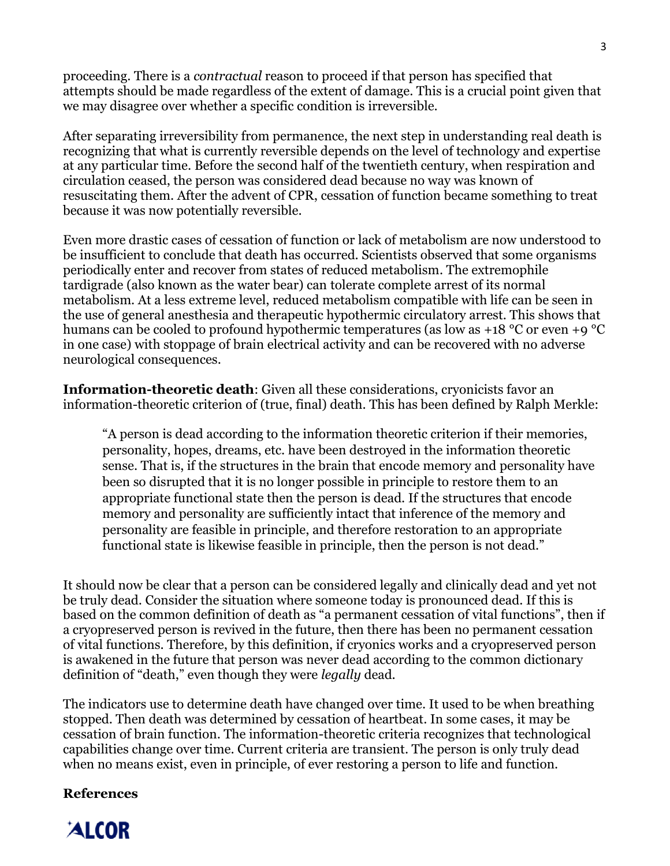proceeding. There is a *contractual* reason to proceed if that person has specified that attempts should be made regardless of the extent of damage. This is a crucial point given that we may disagree over whether a specific condition is irreversible.

After separating irreversibility from permanence, the next step in understanding real death is recognizing that what is currently reversible depends on the level of technology and expertise at any particular time. Before the second half of the twentieth century, when respiration and circulation ceased, the person was considered dead because no way was known of resuscitating them. After the advent of CPR, cessation of function became something to treat because it was now potentially reversible.

Even more drastic cases of cessation of function or lack of metabolism are now understood to be insufficient to conclude that death has occurred. Scientists observed that some organisms periodically enter and recover from states of reduced metabolism. The extremophile tardigrade (also known as the water bear) can tolerate complete arrest of its normal metabolism. At a less extreme level, reduced metabolism compatible with life can be seen in the use of general anesthesia and therapeutic hypothermic circulatory arrest. This shows that humans can be cooled to profound hypothermic temperatures (as low as +18 °C or even +9 °C in one case) with stoppage of brain electrical activity and can be recovered with no adverse neurological consequences.

**Information-theoretic death**: Given all these considerations, cryonicists favor an information-theoretic criterion of (true, final) death. This has been defined by Ralph Merkle:

"A person is dead according to the information theoretic criterion if their memories, personality, hopes, dreams, etc. have been destroyed in the information theoretic sense. That is, if the structures in the brain that encode memory and personality have been so disrupted that it is no longer possible in principle to restore them to an appropriate functional state then the person is dead. If the structures that encode memory and personality are sufficiently intact that inference of the memory and personality are feasible in principle, and therefore restoration to an appropriate functional state is likewise feasible in principle, then the person is not dead."

It should now be clear that a person can be considered legally and clinically dead and yet not be truly dead. Consider the situation where someone today is pronounced dead. If this is based on the common definition of death as "a permanent cessation of vital functions", then if a cryopreserved person is revived in the future, then there has been no permanent cessation of vital functions. Therefore, by this definition, if cryonics works and a cryopreserved person is awakened in the future that person was never dead according to the common dictionary definition of "death," even though they were *legally* dead.

The indicators use to determine death have changed over time. It used to be when breathing stopped. Then death was determined by cessation of heartbeat. In some cases, it may be cessation of brain function. The information-theoretic criteria recognizes that technological capabilities change over time. Current criteria are transient. The person is only truly dead when no means exist, even in principle, of ever restoring a person to life and function.

#### **References**